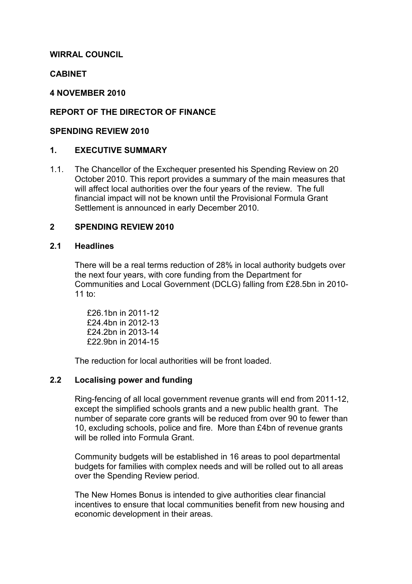## WIRRAL COUNCIL

### CABINET

#### 4 NOVEMBER 2010

## REPORT OF THE DIRECTOR OF FINANCE

#### SPENDING REVIEW 2010

#### 1. EXECUTIVE SUMMARY

1.1. The Chancellor of the Exchequer presented his Spending Review on 20 October 2010. This report provides a summary of the main measures that will affect local authorities over the four years of the review. The full financial impact will not be known until the Provisional Formula Grant Settlement is announced in early December 2010.

#### 2 SPENDING REVIEW 2010

#### 2.1 Headlines

There will be a real terms reduction of 28% in local authority budgets over the next four years, with core funding from the Department for Communities and Local Government (DCLG) falling from £28.5bn in 2010- 11 to:

 £26.1bn in 2011-12 £24.4bn in 2012-13 £24.2bn in 2013-14 £22.9bn in 2014-15

The reduction for local authorities will be front loaded.

#### 2.2 Localising power and funding

 Ring-fencing of all local government revenue grants will end from 2011-12, except the simplified schools grants and a new public health grant. The number of separate core grants will be reduced from over 90 to fewer than 10, excluding schools, police and fire. More than £4bn of revenue grants will be rolled into Formula Grant

 Community budgets will be established in 16 areas to pool departmental budgets for families with complex needs and will be rolled out to all areas over the Spending Review period.

 The New Homes Bonus is intended to give authorities clear financial incentives to ensure that local communities benefit from new housing and economic development in their areas.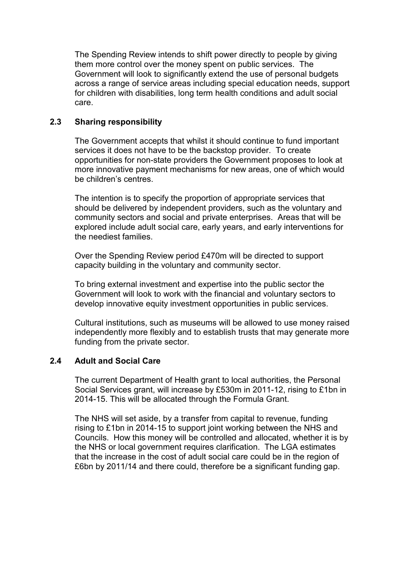The Spending Review intends to shift power directly to people by giving them more control over the money spent on public services. The Government will look to significantly extend the use of personal budgets across a range of service areas including special education needs, support for children with disabilities, long term health conditions and adult social care.

## 2.3 Sharing responsibility

 The Government accepts that whilst it should continue to fund important services it does not have to be the backstop provider. To create opportunities for non-state providers the Government proposes to look at more innovative payment mechanisms for new areas, one of which would be children's centres.

 The intention is to specify the proportion of appropriate services that should be delivered by independent providers, such as the voluntary and community sectors and social and private enterprises. Areas that will be explored include adult social care, early years, and early interventions for the neediest families.

 Over the Spending Review period £470m will be directed to support capacity building in the voluntary and community sector.

 To bring external investment and expertise into the public sector the Government will look to work with the financial and voluntary sectors to develop innovative equity investment opportunities in public services.

 Cultural institutions, such as museums will be allowed to use money raised independently more flexibly and to establish trusts that may generate more funding from the private sector.

# 2.4 Adult and Social Care

 The current Department of Health grant to local authorities, the Personal Social Services grant, will increase by £530m in 2011-12, rising to £1bn in 2014-15. This will be allocated through the Formula Grant.

 The NHS will set aside, by a transfer from capital to revenue, funding rising to £1bn in 2014-15 to support joint working between the NHS and Councils. How this money will be controlled and allocated, whether it is by the NHS or local government requires clarification. The LGA estimates that the increase in the cost of adult social care could be in the region of £6bn by 2011/14 and there could, therefore be a significant funding gap.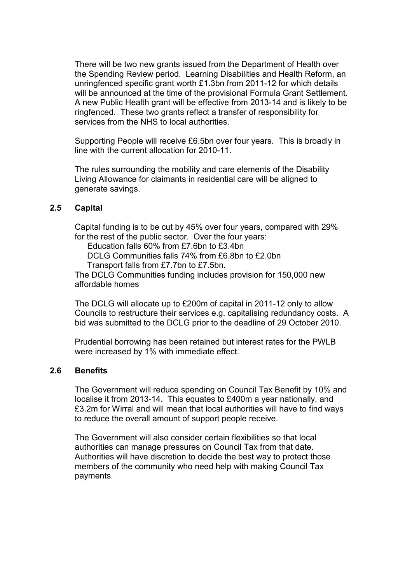There will be two new grants issued from the Department of Health over the Spending Review period. Learning Disabilities and Health Reform, an unringfenced specific grant worth £1.3bn from 2011-12 for which details will be announced at the time of the provisional Formula Grant Settlement. A new Public Health grant will be effective from 2013-14 and is likely to be ringfenced. These two grants reflect a transfer of responsibility for services from the NHS to local authorities.

 Supporting People will receive £6.5bn over four years. This is broadly in line with the current allocation for 2010-11.

 The rules surrounding the mobility and care elements of the Disability Living Allowance for claimants in residential care will be aligned to generate savings.

#### 2.5 Capital

 Capital funding is to be cut by 45% over four years, compared with 29% for the rest of the public sector. Over the four years: Education falls 60% from £7.6bn to £3.4bn

DCLG Communities falls 74% from £6.8bn to £2.0bn

Transport falls from £7.7bn to £7.5bn.

 The DCLG Communities funding includes provision for 150,000 new affordable homes

 The DCLG will allocate up to £200m of capital in 2011-12 only to allow Councils to restructure their services e.g. capitalising redundancy costs. A bid was submitted to the DCLG prior to the deadline of 29 October 2010.

 Prudential borrowing has been retained but interest rates for the PWLB were increased by 1% with immediate effect.

#### 2.6 Benefits

 The Government will reduce spending on Council Tax Benefit by 10% and localise it from 2013-14. This equates to £400m a year nationally, and £3.2m for Wirral and will mean that local authorities will have to find ways to reduce the overall amount of support people receive.

 The Government will also consider certain flexibilities so that local authorities can manage pressures on Council Tax from that date. Authorities will have discretion to decide the best way to protect those members of the community who need help with making Council Tax payments.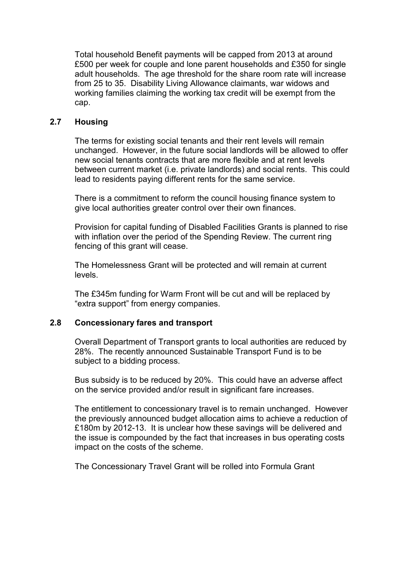Total household Benefit payments will be capped from 2013 at around £500 per week for couple and lone parent households and £350 for single adult households. The age threshold for the share room rate will increase from 25 to 35. Disability Living Allowance claimants, war widows and working families claiming the working tax credit will be exempt from the cap.

### 2.7 Housing

 The terms for existing social tenants and their rent levels will remain unchanged. However, in the future social landlords will be allowed to offer new social tenants contracts that are more flexible and at rent levels between current market (i.e. private landlords) and social rents. This could lead to residents paying different rents for the same service.

 There is a commitment to reform the council housing finance system to give local authorities greater control over their own finances.

 Provision for capital funding of Disabled Facilities Grants is planned to rise with inflation over the period of the Spending Review. The current ring fencing of this grant will cease.

 The Homelessness Grant will be protected and will remain at current levels.

 The £345m funding for Warm Front will be cut and will be replaced by "extra support" from energy companies.

## 2.8 Concessionary fares and transport

 Overall Department of Transport grants to local authorities are reduced by 28%. The recently announced Sustainable Transport Fund is to be subject to a bidding process.

 Bus subsidy is to be reduced by 20%. This could have an adverse affect on the service provided and/or result in significant fare increases.

 The entitlement to concessionary travel is to remain unchanged. However the previously announced budget allocation aims to achieve a reduction of £180m by 2012-13. It is unclear how these savings will be delivered and the issue is compounded by the fact that increases in bus operating costs impact on the costs of the scheme.

The Concessionary Travel Grant will be rolled into Formula Grant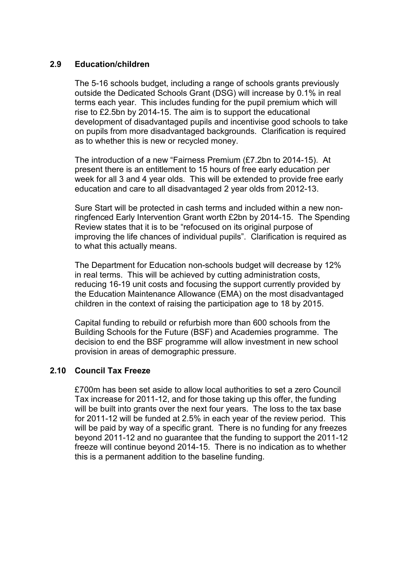#### 2.9 Education/children

 The 5-16 schools budget, including a range of schools grants previously outside the Dedicated Schools Grant (DSG) will increase by 0.1% in real terms each year. This includes funding for the pupil premium which will rise to £2.5bn by 2014-15. The aim is to support the educational development of disadvantaged pupils and incentivise good schools to take on pupils from more disadvantaged backgrounds. Clarification is required as to whether this is new or recycled money.

 The introduction of a new "Fairness Premium (£7.2bn to 2014-15). At present there is an entitlement to 15 hours of free early education per week for all 3 and 4 year olds. This will be extended to provide free early education and care to all disadvantaged 2 year olds from 2012-13.

 Sure Start will be protected in cash terms and included within a new nonringfenced Early Intervention Grant worth £2bn by 2014-15. The Spending Review states that it is to be "refocused on its original purpose of improving the life chances of individual pupils". Clarification is required as to what this actually means.

 The Department for Education non-schools budget will decrease by 12% in real terms. This will be achieved by cutting administration costs, reducing 16-19 unit costs and focusing the support currently provided by the Education Maintenance Allowance (EMA) on the most disadvantaged children in the context of raising the participation age to 18 by 2015.

 Capital funding to rebuild or refurbish more than 600 schools from the Building Schools for the Future (BSF) and Academies programme. The decision to end the BSF programme will allow investment in new school provision in areas of demographic pressure.

#### 2.10 Council Tax Freeze

 £700m has been set aside to allow local authorities to set a zero Council Tax increase for 2011-12, and for those taking up this offer, the funding will be built into grants over the next four years. The loss to the tax base for 2011-12 will be funded at 2.5% in each year of the review period. This will be paid by way of a specific grant. There is no funding for any freezes beyond 2011-12 and no guarantee that the funding to support the 2011-12 freeze will continue beyond 2014-15. There is no indication as to whether this is a permanent addition to the baseline funding.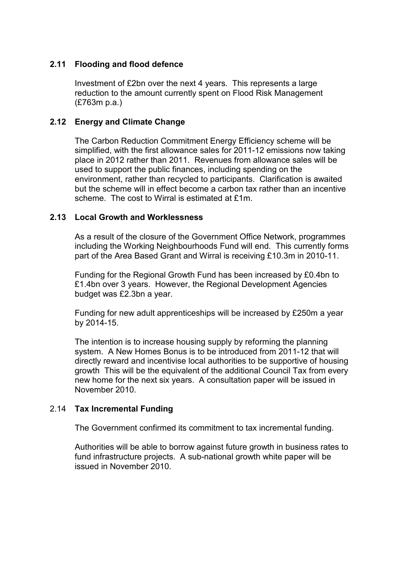## 2.11 Flooding and flood defence

 Investment of £2bn over the next 4 years. This represents a large reduction to the amount currently spent on Flood Risk Management (£763m p.a.)

### 2.12 Energy and Climate Change

 The Carbon Reduction Commitment Energy Efficiency scheme will be simplified, with the first allowance sales for 2011-12 emissions now taking place in 2012 rather than 2011. Revenues from allowance sales will be used to support the public finances, including spending on the environment, rather than recycled to participants. Clarification is awaited but the scheme will in effect become a carbon tax rather than an incentive scheme. The cost to Wirral is estimated at £1m.

#### 2.13 Local Growth and Worklessness

 As a result of the closure of the Government Office Network, programmes including the Working Neighbourhoods Fund will end. This currently forms part of the Area Based Grant and Wirral is receiving £10.3m in 2010-11.

 Funding for the Regional Growth Fund has been increased by £0.4bn to £1.4bn over 3 years. However, the Regional Development Agencies budget was £2.3bn a year.

 Funding for new adult apprenticeships will be increased by £250m a year by 2014-15.

 The intention is to increase housing supply by reforming the planning system. A New Homes Bonus is to be introduced from 2011-12 that will directly reward and incentivise local authorities to be supportive of housing growth This will be the equivalent of the additional Council Tax from every new home for the next six years. A consultation paper will be issued in November 2010.

# 2.14 Tax Incremental Funding

The Government confirmed its commitment to tax incremental funding.

 Authorities will be able to borrow against future growth in business rates to fund infrastructure projects. A sub-national growth white paper will be issued in November 2010.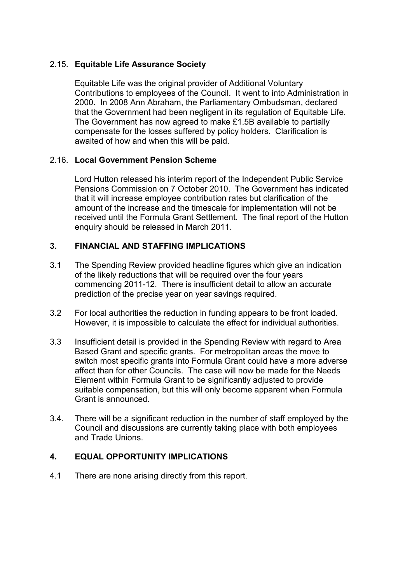# 2.15. Equitable Life Assurance Society

 Equitable Life was the original provider of Additional Voluntary Contributions to employees of the Council. It went to into Administration in 2000. In 2008 Ann Abraham, the Parliamentary Ombudsman, declared that the Government had been negligent in its regulation of Equitable Life. The Government has now agreed to make £1.5B available to partially compensate for the losses suffered by policy holders. Clarification is awaited of how and when this will be paid.

## 2.16. Local Government Pension Scheme

 Lord Hutton released his interim report of the Independent Public Service Pensions Commission on 7 October 2010. The Government has indicated that it will increase employee contribution rates but clarification of the amount of the increase and the timescale for implementation will not be received until the Formula Grant Settlement. The final report of the Hutton enquiry should be released in March 2011.

## 3. FINANCIAL AND STAFFING IMPLICATIONS

- 3.1 The Spending Review provided headline figures which give an indication of the likely reductions that will be required over the four years commencing 2011-12. There is insufficient detail to allow an accurate prediction of the precise year on year savings required.
- 3.2 For local authorities the reduction in funding appears to be front loaded. However, it is impossible to calculate the effect for individual authorities.
- 3.3 Insufficient detail is provided in the Spending Review with regard to Area Based Grant and specific grants. For metropolitan areas the move to switch most specific grants into Formula Grant could have a more adverse affect than for other Councils. The case will now be made for the Needs Element within Formula Grant to be significantly adjusted to provide suitable compensation, but this will only become apparent when Formula Grant is announced.
- 3.4. There will be a significant reduction in the number of staff employed by the Council and discussions are currently taking place with both employees and Trade Unions.

#### 4. EQUAL OPPORTUNITY IMPLICATIONS

4.1 There are none arising directly from this report.